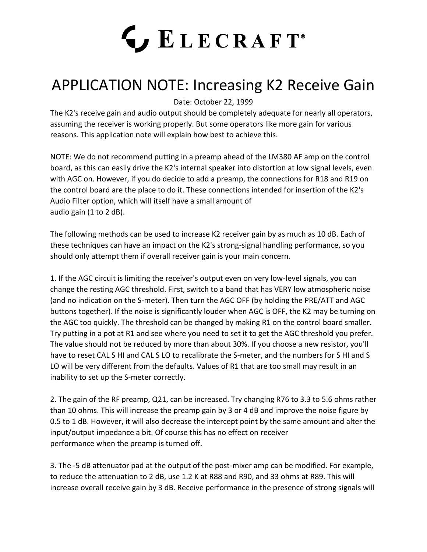## **LECRAFT**®

## APPLICATION NOTE: Increasing K2 Receive Gain

Date: October 22, 1999

The K2's receive gain and audio output should be completely adequate for nearly all operators, assuming the receiver is working properly. But some operators like more gain for various reasons. This application note will explain how best to achieve this.

NOTE: We do not recommend putting in a preamp ahead of the LM380 AF amp on the control board, as this can easily drive the K2's internal speaker into distortion at low signal levels, even with AGC on. However, if you do decide to add a preamp, the connections for R18 and R19 on the control board are the place to do it. These connections intended for insertion of the K2's Audio Filter option, which will itself have a small amount of audio gain (1 to 2 dB).

The following methods can be used to increase K2 receiver gain by as much as 10 dB. Each of these techniques can have an impact on the K2's strong-signal handling performance, so you should only attempt them if overall receiver gain is your main concern.

1. If the AGC circuit is limiting the receiver's output even on very low-level signals, you can change the resting AGC threshold. First, switch to a band that has VERY low atmospheric noise (and no indication on the S-meter). Then turn the AGC OFF (by holding the PRE/ATT and AGC buttons together). If the noise is significantly louder when AGC is OFF, the K2 may be turning on the AGC too quickly. The threshold can be changed by making R1 on the control board smaller. Try putting in a pot at R1 and see where you need to set it to get the AGC threshold you prefer. The value should not be reduced by more than about 30%. If you choose a new resistor, you'll have to reset CAL S HI and CAL S LO to recalibrate the S-meter, and the numbers for S HI and S LO will be very different from the defaults. Values of R1 that are too small may result in an inability to set up the S-meter correctly.

2. The gain of the RF preamp, Q21, can be increased. Try changing R76 to 3.3 to 5.6 ohms rather than 10 ohms. This will increase the preamp gain by 3 or 4 dB and improve the noise figure by 0.5 to 1 dB. However, it will also decrease the intercept point by the same amount and alter the input/output impedance a bit. Of course this has no effect on receiver performance when the preamp is turned off.

3. The -5 dB attenuator pad at the output of the post-mixer amp can be modified. For example, to reduce the attenuation to 2 dB, use 1.2 K at R88 and R90, and 33 ohms at R89. This will increase overall receive gain by 3 dB. Receive performance in the presence of strong signals will